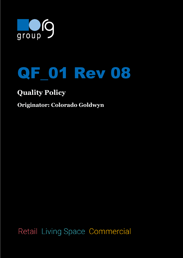



## **Quality Policy**

## **Originator: Colorado Goldwyn**

Retail Living Space Commercial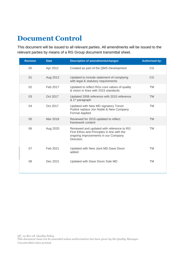## **Document Control**

This document will be issued to all relevant parties. All amendments will be issued to the relevant parties by means of a RG Group document transmittal sheet.

| <b>Revision</b> | <b>Date</b> | <b>Description of amendments/changes</b>                                                                                                      | <b>Authorised by:</b> |
|-----------------|-------------|-----------------------------------------------------------------------------------------------------------------------------------------------|-----------------------|
| 00              | Apr 2012    | Created as part of the QMS Development                                                                                                        | CG                    |
| 01              | Aug 2012    | Updated to include statement of complying<br>with legal & statutory requirements                                                              | CG                    |
| 02              | Feb 2017    | Updated to reflect RGs core values of quality<br>& vision in lines with 2015 standards                                                        | <b>TM</b>             |
| 03              | Oct 2017    | Updated 2008 reference with 2015 reference<br>& 1 <sup>st</sup> paragraph                                                                     | <b>TM</b>             |
| 04              | Oct 2017    | Updated with New MD signatory Trevor<br>Puttick replace Jon Noble & New Company<br><b>Format Applied</b>                                      | <b>TM</b>             |
| 05              | Mar 2018    | Reviewed for 2015 updated to reflect<br>framework content                                                                                     | <b>TM</b>             |
| 06              | Aug 2020    | Reviewed and updated with reference to RG<br>First Ethos and Principles in line with the<br>ongoing improvements in our Company<br>Direction. | <b>TM</b>             |
| 07              | Feb 2021    | Updated with New Joint MD Dave Dixon<br>added                                                                                                 | <b>TM</b>             |
| 08              | Dec 2021    | Updated with Dave Dixon Sole MD                                                                                                               | <b>TM</b>             |